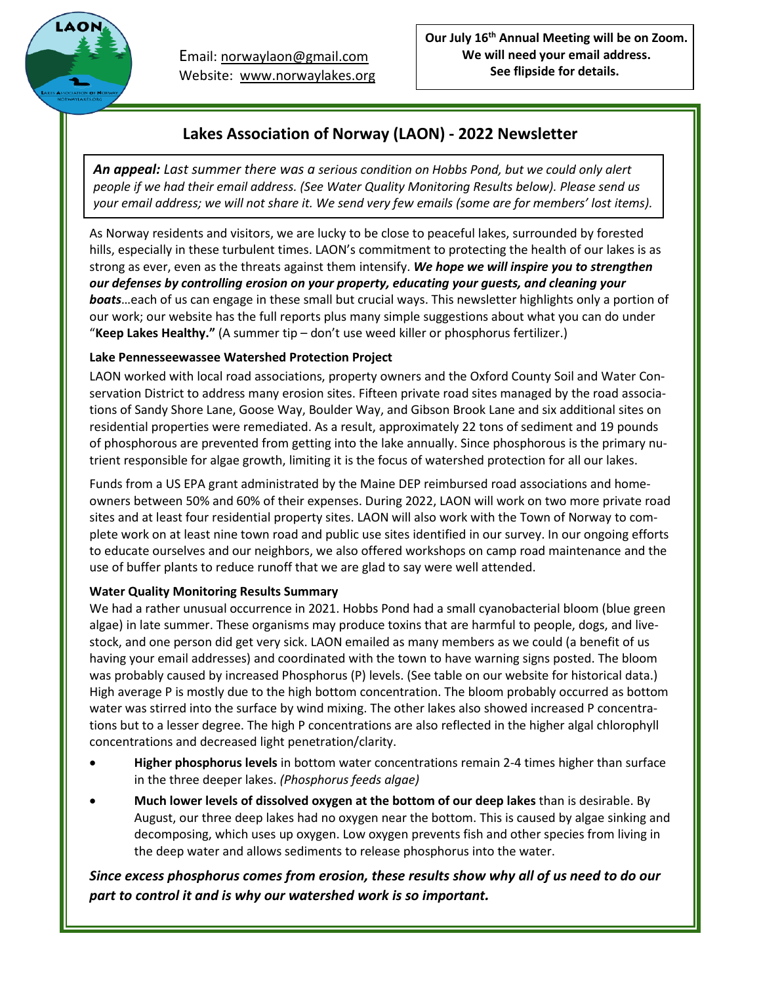

Email: [norwaylaon@gmail.com](mailto:norwaylaon@gmail.com) Website: [www.norwaylakes.org](http://www.norwaylakes.org/)

## **Lakes Association of Norway (LAON) - 2022 Newsletter**

*An appeal: Last summer there was a serious condition on Hobbs Pond, but we could only alert people if we had their email address. (See Water Quality Monitoring Results below). Please send us* your email address; we will not share it. We send very few emails (some are for members' lost items).

As Norway residents and visitors, we are lucky to be close to peaceful lakes, surrounded by forested hills, especially in these turbulent times. LAON's commitment to protecting the health of our lakes is as strong as ever, even as the threats against them intensify. *We hope we will inspire you to strengthen our defenses by controlling erosion on your property, educating your guests, and cleaning your boats*…each of us can engage in these small but crucial ways. This newsletter highlights only a portion of our work; our website has the full reports plus many simple suggestions about what you can do under "**Keep Lakes Healthy."** (A summer tip – don't use weed killer or phosphorus fertilizer.)

## **Lake Pennesseewassee Watershed Protection Project**

LAON worked with local road associations, property owners and the Oxford County Soil and Water Conservation District to address many erosion sites. Fifteen private road sites managed by the road associations of Sandy Shore Lane, Goose Way, Boulder Way, and Gibson Brook Lane and six additional sites on residential properties were remediated. As a result, approximately 22 tons of sediment and 19 pounds of phosphorous are prevented from getting into the lake annually. Since phosphorous is the primary nutrient responsible for algae growth, limiting it is the focus of watershed protection for all our lakes.

Funds from a US EPA grant administrated by the Maine DEP reimbursed road associations and homeowners between 50% and 60% of their expenses. During 2022, LAON will work on two more private road sites and at least four residential property sites. LAON will also work with the Town of Norway to complete work on at least nine town road and public use sites identified in our survey. In our ongoing efforts to educate ourselves and our neighbors, we also offered workshops on camp road maintenance and the use of buffer plants to reduce runoff that we are glad to say were well attended.

### **Water Quality Monitoring Results Summary**

We had a rather unusual occurrence in 2021. Hobbs Pond had a small cyanobacterial bloom (blue green algae) in late summer. These organisms may produce toxins that are harmful to people, dogs, and livestock, and one person did get very sick. LAON emailed as many members as we could (a benefit of us having your email addresses) and coordinated with the town to have warning signs posted. The bloom was probably caused by increased Phosphorus (P) levels. (See table on our website for historical data.) High average P is mostly due to the high bottom concentration. The bloom probably occurred as bottom water was stirred into the surface by wind mixing. The other lakes also showed increased P concentrations but to a lesser degree. The high P concentrations are also reflected in the higher algal chlorophyll concentrations and decreased light penetration/clarity.

- **Higher phosphorus levels** in bottom water concentrations remain 2-4 times higher than surface in the three deeper lakes. *(Phosphorus feeds algae)*
- **Much lower levels of dissolved oxygen at the bottom of our deep lakes** than is desirable. By August, our three deep lakes had no oxygen near the bottom. This is caused by algae sinking and decomposing, which uses up oxygen. Low oxygen prevents fish and other species from living in the deep water and allows sediments to release phosphorus into the water.

## *Since excess phosphorus comes from erosion, these results show why all of us need to do our part to control it and is why our watershed work is so important.*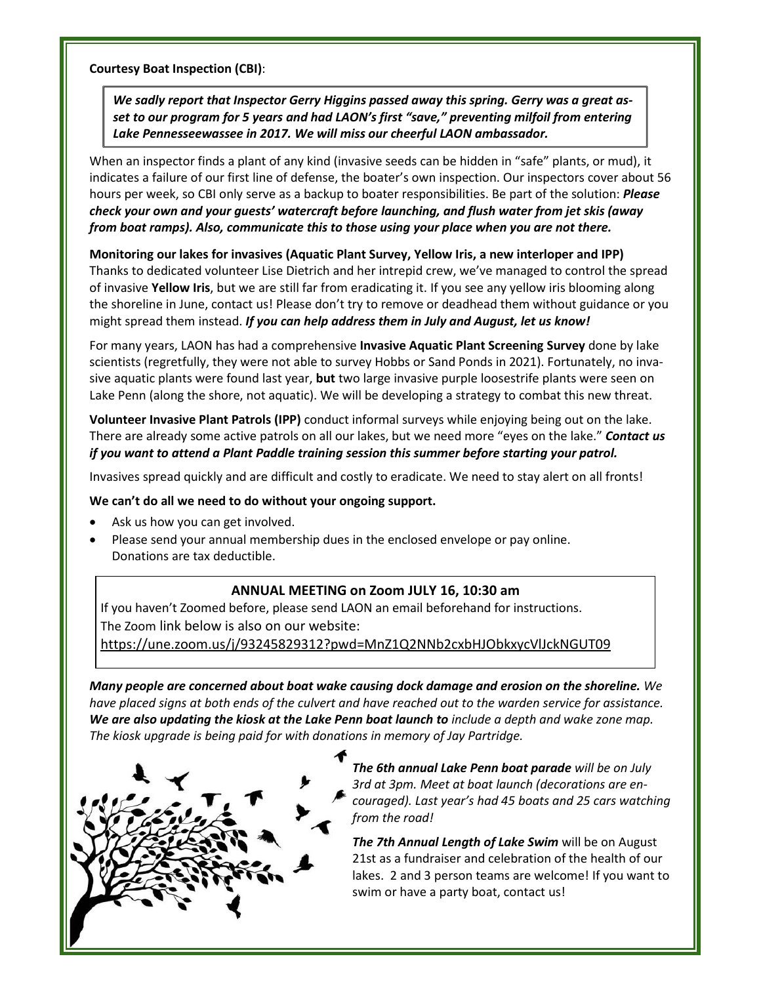**Courtesy Boat Inspection (CBI)**:

*We sadly report that Inspector Gerry Higgins passed away this spring. Gerry was a great asset to our program for 5 years and had LAON's first "save," preventing milfoil from entering Lake Pennesseewassee in 2017. We will miss our cheerful LAON ambassador.*

When an inspector finds a plant of any kind (invasive seeds can be hidden in "safe" plants, or mud), it indicates a failure of our first line of defense, the boater's own inspection. Our inspectors cover about 56 hours per week, so CBI only serve as a backup to boater responsibilities. Be part of the solution: *Please check your own and your guests' watercraft before launching, and flush water from jet skis (away from boat ramps). Also, communicate this to those using your place when you are not there.*

#### **Monitoring our lakes for invasives (Aquatic Plant Survey, Yellow Iris, a new interloper and IPP)**

Thanks to dedicated volunteer Lise Dietrich and her intrepid crew, we've managed to control the spread of invasive **Yellow Iris**, but we are still far from eradicating it. If you see any yellow iris blooming along the shoreline in June, contact us! Please don't try to remove or deadhead them without guidance or you might spread them instead. *If you can help address them in July and August, let us know!*

For many years, LAON has had a comprehensive **Invasive Aquatic Plant Screening Survey** done by lake scientists (regretfully, they were not able to survey Hobbs or Sand Ponds in 2021). Fortunately, no invasive aquatic plants were found last year, **but** two large invasive purple loosestrife plants were seen on Lake Penn (along the shore, not aquatic). We will be developing a strategy to combat this new threat.

**Volunteer Invasive Plant Patrols (IPP)** conduct informal surveys while enjoying being out on the lake. There are already some active patrols on all our lakes, but we need more "eyes on the lake." *Contact us if you want to attend a Plant Paddle training session this summer before starting your patrol.*

Invasives spread quickly and are difficult and costly to eradicate. We need to stay alert on all fronts!

#### **We can't do all we need to do without your ongoing support.**

- Ask us how you can get involved.
- Please send your annual membership dues in the enclosed envelope or pay online. Donations are tax deductible.

#### **ANNUAL MEETING on Zoom JULY 16, 10:30 am**

If you haven't Zoomed before, please send LAON an email beforehand for instructions. The Zoom link below is also on our website:

<https://une.zoom.us/j/93245829312?pwd=MnZ1Q2NNb2cxbHJObkxycVlJckNGUT09>

*Many people are concerned about boat wake causing dock damage and erosion on the shoreline. We* have placed signs at both ends of the culvert and have reached out to the warden service for assistance. We are also updating the kiosk at the Lake Penn boat launch to include a depth and wake zone map. *The kiosk upgrade is being paid for with donations in memory of Jay Partridge.*



*The 6th annual Lake Penn boat parade will be on July 3rd at 3pm. Meet at boat launch (decorations are encouraged). Last year's had 45 boats and 25 cars watching from the road!*

*The 7th Annual Length of Lake Swim* will be on August 21st as a fundraiser and celebration of the health of our lakes. 2 and 3 person teams are welcome! If you want to swim or have a party boat, contact us!